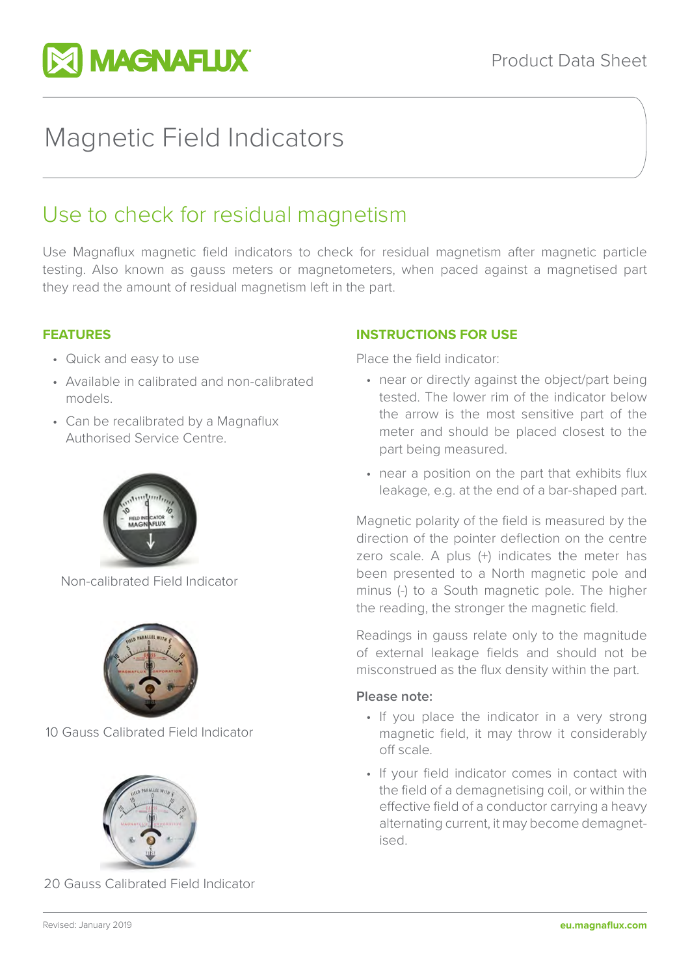

# Magnetic Field Indicators

# Use to check for residual magnetism

Use Magnaflux magnetic field indicators to check for residual magnetism after magnetic particle testing. Also known as gauss meters or magnetometers, when paced against a magnetised part they read the amount of residual magnetism left in the part.

### **FEATURES**

- Quick and easy to use
- Available in calibrated and non-calibrated models.
- Can be recalibrated by a Magnaflux Authorised Service Centre.



Non-calibrated Field Indicator



10 Gauss Calibrated Field Indicator



20 Gauss Calibrated Field Indicator

### **INSTRUCTIONS FOR USE**

Place the field indicator:

- near or directly against the object/part being tested. The lower rim of the indicator below the arrow is the most sensitive part of the meter and should be placed closest to the part being measured.
- near a position on the part that exhibits flux leakage, e.g. at the end of a bar-shaped part.

Magnetic polarity of the field is measured by the direction of the pointer deflection on the centre zero scale. A plus (+) indicates the meter has been presented to a North magnetic pole and minus (-) to a South magnetic pole. The higher the reading, the stronger the magnetic field.

Readings in gauss relate only to the magnitude of external leakage fields and should not be misconstrued as the flux density within the part.

#### **Please note:**

- If you place the indicator in a very strong magnetic field, it may throw it considerably off scale.
- If your field indicator comes in contact with the field of a demagnetising coil, or within the effective field of a conductor carrying a heavy alternating current, it may become demagnetised.